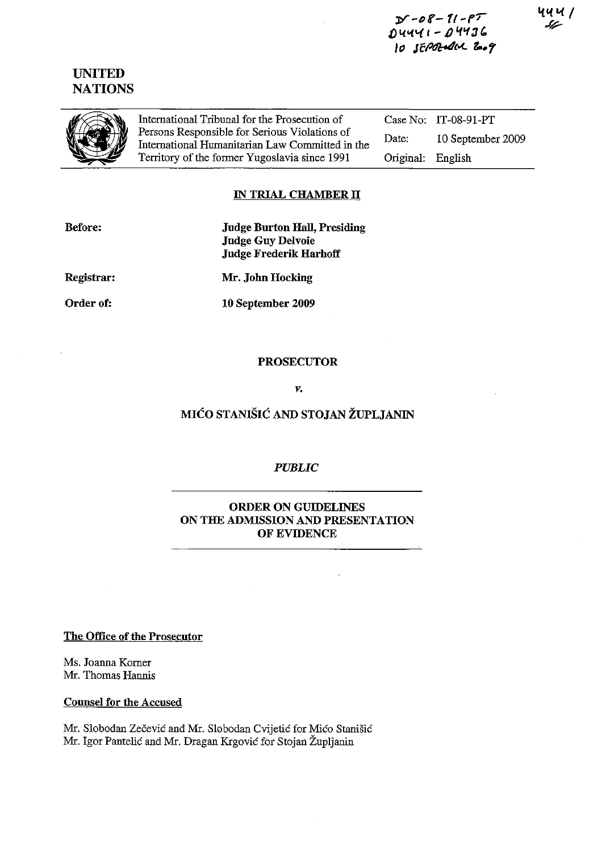$D - 08 - 11 - 17$ .Đ \.(0(1{ I - *1)'1'13"*  lo Jf:~'..t. **&..r** 

# UNITED **NATIONS**



International Tribunal for the Prosecntion of Persons Responsible for Serious Violations of International Humanitarian Law Committed in the Territory of the fonner Yugoslavia since 1991

Case No: lT-08-91-PT Date: 10 September 2009 Original: English

## IN TRIAL CHAMBER II

| <b>Before:</b> | <b>Judge Burton Hall, Presiding</b> |
|----------------|-------------------------------------|
|                | <b>Judge Guy Delvoie</b>            |
|                | <b>Judge Frederik Harhoff</b>       |
|                |                                     |

Registrar:

Mr. John Hocking

Order of:

10 September 2009

#### PROSECUTOR

V.

# MIĆO STANIŠIĆ AND STOJAN ŽUPLJANIN

### *PUBLIC*

### ORDER ON GUIDELINES ON THE ADMISSION AND PRESENTATION OF EVIDENCE

The Office of the Prosecutor

Ms. Joanna Komer Mr. Thomas Hannis

#### Counsel for the Accused

Mr. Slobodan Zečević and Mr. Slobodan Cvijetić for Mićo Stanišić Mr. Igor Pantelić and Mr. Dragan Krgović for Stojan Župljanin

14 U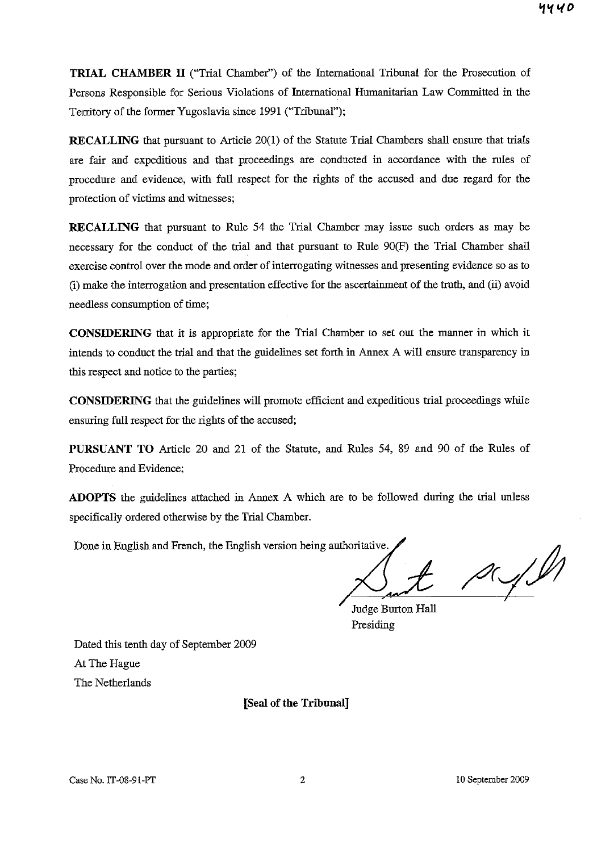**TRIAL CHAMBER II** ("Trial Chamber") of the International Tribunal for the Prosecution of Persons Responsible for Serious Violations of International Humanitarian Law Committed in the Territory of the former Yugoslavia since 1991 ("Tribunal");

**RECALLING** that pursuant to Article 20(1) of the Statute Trial Chambers shall ensure that trials are fair and expeditious and that proceedings are conducted in accordance with the rules of procedure and evidence, with full respect for the rights of the accused and due regard for the protection of victims and witnesses;

**RECALLING** that pursuant to Rule 54 the Trial Chamber may issue such orders as may be necessary for the conduct of the trial and that pursuant to Rule 90(F) the Trial Chamber shall exercise control over the mode and order of interrogating wituesses and presenting evidence so as to (i) make the interrogation and presentation effective for the ascertainment of the truth, and (ii) avoid needless consumption of time;

**CONSIDERING** that it is appropriate for the Trial Chamber to set out the manner in which it intends to conduct the trial and that the guidelines set forth in Annex A will ensure transparency in this respect and notice to the parties;

**CONSIDERING** that the guidelines will promote efficient and expeditious trial proceedings while ensuring full respect for the rights of the accused;

**PURSUANT TO** Article 20 and 21 of the Statute, and Rules 54, 89 and 90 of the Rules of Procedure and Evidence;

**ADOPTS** the guidelines attached in Annex A which are to be followed during the trial unless specifically ordered otherwise by the Trial Chamber.

Done in English and French, the English version being authoritative.

D.J.Y

Judge Burton Hall Presiding

Dated this tenth day of September 2009 At The Hague The Netherlands

[Seal of the Tribunal]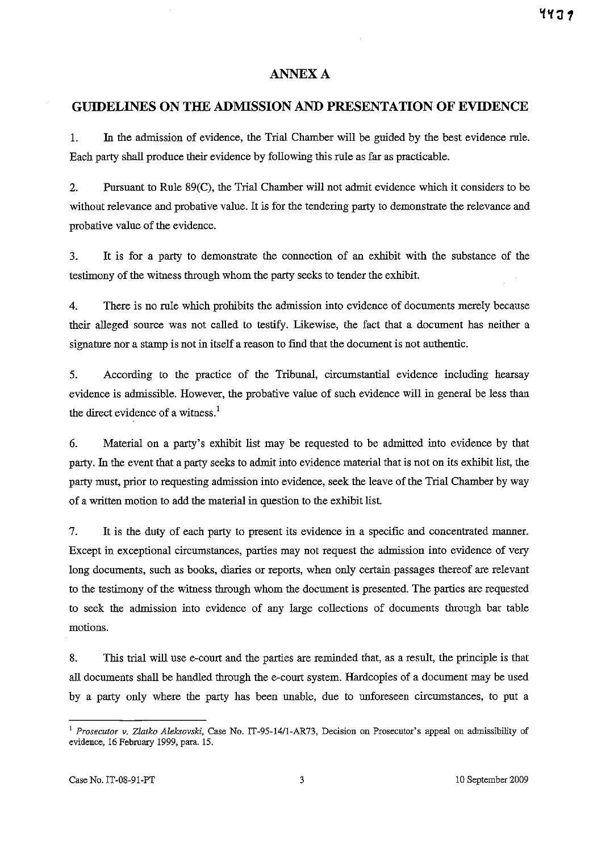## **ANNEX A**

#### **GUIDELINES ON THE ADMISSION AND PRESENTATION OF EVIDENCE**

L In the admission of evidence, the Trial Chamber will be gnided by the best evidence rule. Each party shall produce their evidence by following this rule as far as practicable.

2. Pursuant to Rule 89(C), the Trial Chamber will not admit evidence which it considers to be without relevance and probative value. It is for the tendering party to demonstrate the relevance and probative value of the evidence.

3. It is for a party to demonstrate the connection of an exhibit with the substance of the testimony of the witness through whom the party seeks to tender the exhibit.

4. There is no rule which prohibits the admission into evidence of documents merely because their alleged source was not called to testify. Likewise, the fact that a document has neither a signature nor a stamp is not in itself a reason to find that the document is not authentic.

5. According to the practice of the Tribunal, circumstantial evidence including hearsay evidence is admissible. However, the probative value of such evidence will in general be less than the direct evidence of a witness.<sup>1</sup>

6. Material on a party's exhibit list may be requested to be admitted into evidence by that party. In the event that a party seeks to admit into evidence material that is not on its exhibit list, the party must, prior to requesting admission into evidence, seek the leave of the Trial Chamber by way of a written motion to add the material in question to the exhibit list.

7. It is the duty of each party to present its evidence in a specific and concentrated manner. Except in exceptional circumstances, parties may not request the admission into evidence of very long documents, such as books, diaries or reports, when only certain passages thereof are relevant to the testimony of the witness through whom the document is presented. The parties are requested to seek the admission into evidence of any large collections of documents through bar table motions.

8. This trial will use e-court and the parties are reminded that, as a resnlt, the principle is that all documents shall be handled through the e-court system. Hardcopies of a document may be used by a party only where the party has been unable, due to unforeseen circumstances, to put a

<sup>&</sup>lt;sup>1</sup> Prosecutor v. Zlatko Aleksovski, Case No. IT-95-14/1-AR73, Decision on Prosecutor's appeal on admissibility of evidence, 16 February 1999, para. IS.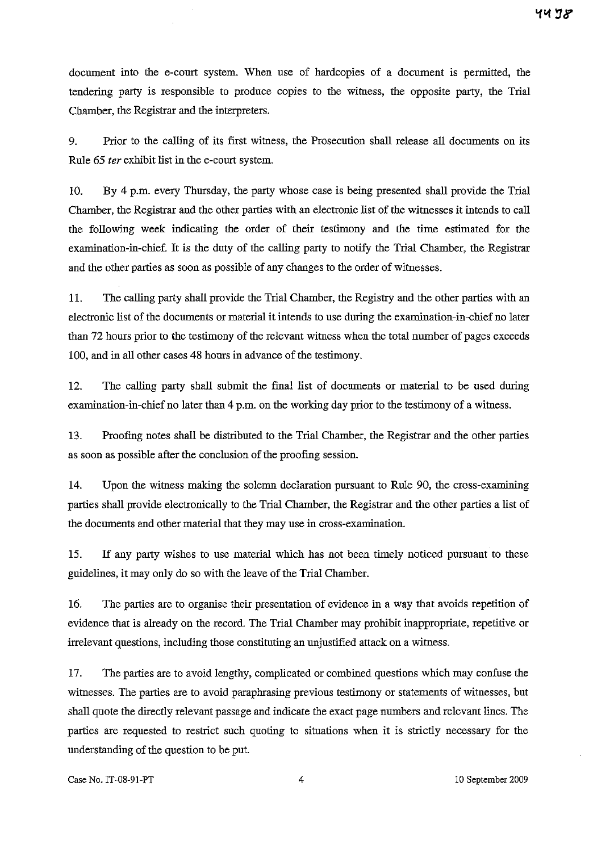document into the e-court system. When use of hardcopies of a document is permitted, the tendering party is responsible to produce copies to the witness, the opposite party, the Trial Chamber, the Registrar and the interpreters.

9. Prior to the calling of its first witness, the Prosecution shall release all documents on its Rule 65 *ter* exhibit list in the e-court system.

10. By 4 p.m. every Thursday, the party whose case is being presented shall provide the Trial Chamber, the Registrar and the other parties with an electronic list of the witnesses it intends to call the following week indicating the order of their testimony and the time estimated for the examination-in-chief. **It** is the duty of the calling party to notify the Trial Chamber, the Registrar and the other parties as soon as possible of any changes to the order of witnesses.

ll. The calling party shall provide the Trial Chamber, the Registry and the other parties with an electronic list of the documents or material it intends to use during the examination-in-chief no later than 72 hours prior to the testimony of the relevant witness when the total number of pages exceeds 100, and in all other cases 48 hours in advance of the testimony.

12. The calling party shall submit the final list of documents or material to be used during examination-in-chief no later than 4 p.m. on the working day prior to the testimony of a witness.

13. Proofmg notes shall be distributed to the Trial Chamber, the Registrar and the other parties as soon as possible after the conclusion of the proofmg session.

14. Upon the witness making the solemn declaration pursuant to Rule 90, the cross-examining parties shall provide electronically to the Trial Chamber, the Registrar and the other parties a list of the documents and other material that they may use in cross-examination.

15. If any party wishes to use material which has not been timely noticed pursuant to these gnidelines, it may only do so with the leave of the Trial Chamber.

16. The parties are to organise their presentation of evidence in a way that avoids repetition of evidence that is already on the record. The Trial Chamber may prohibit inappropriate, repetitive or irrelevant questions, including those constituting an unjustified attack on a witness.

17. The parties are to avoid lengthy, complicated or combined questions which may confuse the witnesses. The parties are to avoid paraphrasing previous testimony or statements of wituesses, but shall quote the directly relevant passage and indicate the exact page numbers and relevant lines. The parties are requested to restrict such quoting to situations when it is strictly necessary for the understanding of the question to be put.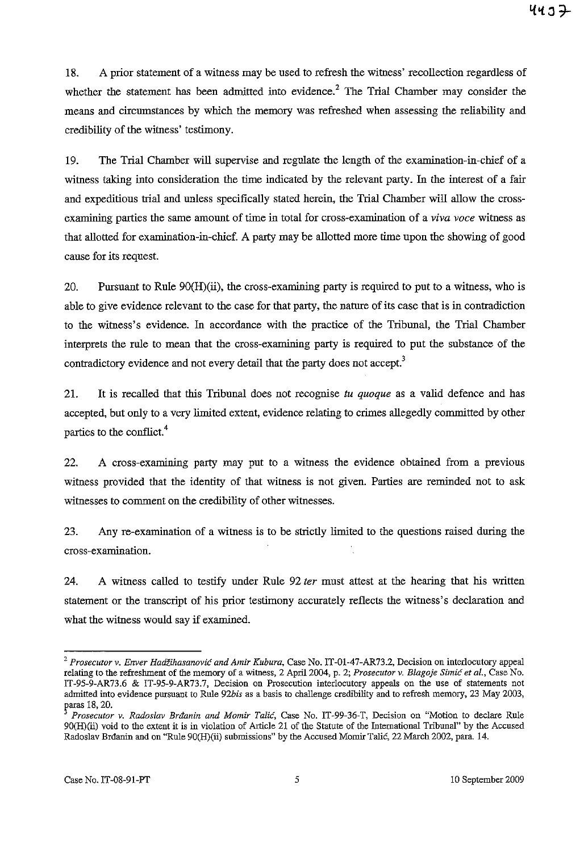18. A prior statement of a witness may be nsed to refresh the witness' recollection regardless of whether the statement has been admitted into evidence.<sup>2</sup> The Trial Chamber may consider the means and circumstances by which the memory was refreshed when assessing the reliability and credibility of the witness' testimony.

19. The Trial Chamber will supervise and regulate the length of the examination-in-chief of a witness taking into consideration the time indicated by the relevant party. In the interest of a fair and expeditious trial and unless specifically stated herein, the Trial Chamber will allow the crossexamining parties the same amount of time in total for cross-examination of a *viva voce* witness as that allotted for examination-in-chief. A party may be allotted more time upon the showing of good cause for its request.

20. Pursuant to Rule 90(H)(ii), the cross-examining party is required to put to a witness, who is able to give evidence relevant to the case for that party, the nature of its case that is in contradiction to the witness's evidence. In accordance with the practice of the Tribunal, the Trial Chamber interprets the rule to mean that the cross-examining party is required to put the substance of the contradictory evidence and not every detail that the party does not accept.<sup>3</sup>

21. It is recalled that this Tribuual does not recognise *tu quoque* as a valid defence and has accepted, but only to a very limited extent, evidence relating to crimes allegedly committed by other parties to the conflict. 4

22. A cross-examining party may put to a witness the evidence obtained from a previous witness provided that the identity of that witness is not given. Parties are reminded not to ask witnesses to comment on the credibility of other witnesses.

23. Any re-examination of a witness is to be strictly limited to the questions raised during the cross-examination.

24. A witness called to testify under Rule 92 *ter* must attest at the hearing that his written statement or the transcript of his prior testimony accurately reflects the witness's declaration and what the witness would say if examined.

<sup>2</sup>*Prosecutor* **v.** *Enver* Hadžihasanović *and Amir Kubura,* **Case No. IT -Ol-47-AR73.2, Decision on interlocutory appeal relating to the refreshment of the memory of a witness, 2** April 2004, **p. 2;** *Prosecutor* **v.** *Blagoje* Simić *et al.,* **Case No.**  IT-95-9-AR73.6 & IT-95-9-AR73.7, Decision on Prosecution interlocutory appeals on the use of statements not admitted into evidence pursuant to Rule *92his* as a basis to challenge credibility and to refresh memory, 23 May 2003, paras 18, 20.

*Prosecutor* **v.** *Radoslav* Brđanin *and Momir* Talić, **Case No. IT-99-36-T, Decision on "Motion to declare Rule**  90(H)(ii) void to the extent it is in violation of Article 21 of the Statute of the International Tribunal" by the Accused Radoslav Brđanin and on "Rule 90(H)(ii) submissions" by the Accused Momir Talić, 22 March 2002, para. 14.